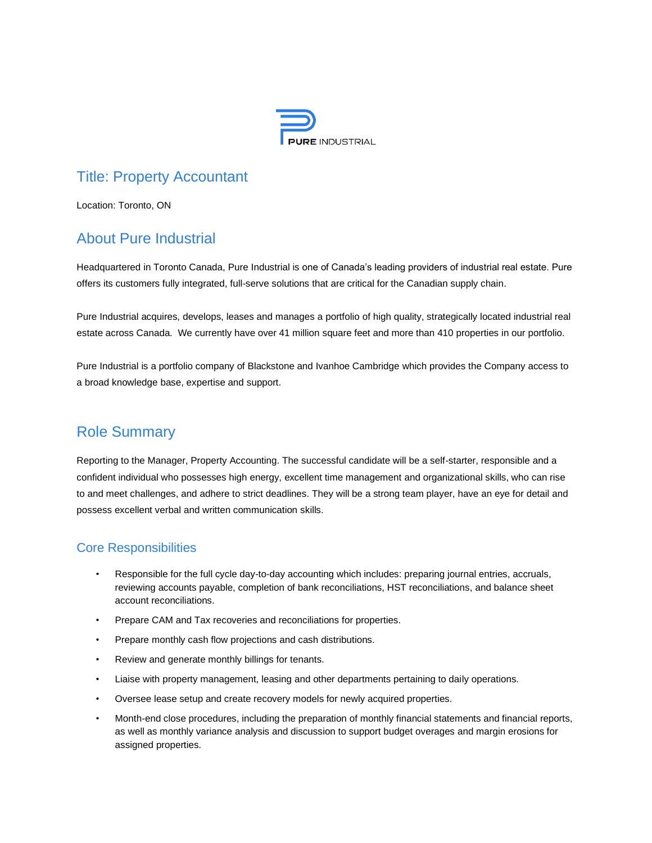

# Title: Property Accountant

Location: Toronto, ON

# About Pure Industrial

Headquartered in Toronto Canada, Pure Industrial is one of Canada's leading providers of industrial real estate. Pure offers its customers fully integrated, full-serve solutions that are critical for the Canadian supply chain.

Pure Industrial acquires, develops, leases and manages a portfolio of high quality, strategically located industrial real estate across Canada. We currently have over 41 million square feet and more than 410 properties in our portfolio.

Pure Industrial is a portfolio company of Blackstone and Ivanhoe Cambridge which provides the Company access to a broad knowledge base, expertise and support.

## Role Summary

Reporting to the Manager, Property Accounting. The successful candidate will be a self-starter, responsible and a confident individual who possesses high energy, excellent time management and organizational skills, who can rise to and meet challenges, and adhere to strict deadlines. They will be a strong team player, have an eye for detail and possess excellent verbal and written communication skills.

### Core Responsibilities

- Responsible for the full cycle day-to-day accounting which includes: preparing journal entries, accruals, reviewing accounts payable, completion of bank reconciliations, HST reconciliations, and balance sheet account reconciliations.
- Prepare CAM and Tax recoveries and reconciliations for properties.
- Prepare monthly cash flow projections and cash distributions.
- Review and generate monthly billings for tenants.
- Liaise with property management, leasing and other departments pertaining to daily operations.
- Oversee lease setup and create recovery models for newly acquired properties.
- Month-end close procedures, including the preparation of monthly financial statements and financial reports, as well as monthly variance analysis and discussion to support budget overages and margin erosions for assigned properties.